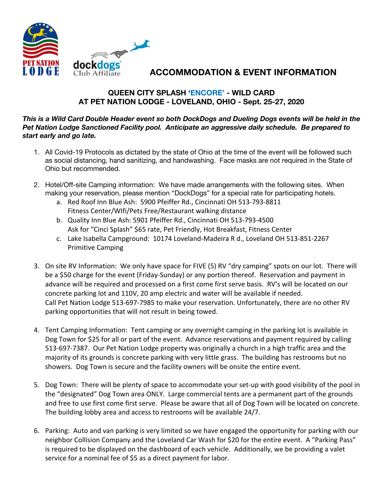

## **ACCOMMODATION & EVENT INFORMATION**

## **QUEEN CITY SPLASH 'ENCORE' - WILD CARD AT PET NATION LODGE - LOVELAND, OHIO - Sept. 25-27, 2020**

## *This is a Wild Card Double Header event so both DockDogs and Dueling Dogs events will be held in the Pet Nation Lodge Sanctioned Facility pool. Anticipate an aggressive daily schedule. Be prepared to start early and go late.*

- 1. All Covid-19 Protocols as dictated by the state of Ohio at the time of the event will be followed such as social distancing, hand sanitizing, and handwashing. Face masks are not required in the State of Ohio but recommended.
- 2. Hotel/Off-site Camping information: We have made arrangements with the following sites. When making your reservation, please mention "DockDogs" for a special rate for participating hotels.
	- a. Red Roof Inn Blue Ash: 5900 Pfeiffer Rd., Cincinnati OH 513-793-8811 Fitness Center/WIfi/Pets Free/Restaurant walking distance
	- b. Quality Inn Blue Ash: 5901 Pfeiffer Rd., Cincinnati OH 513-793-4500 Ask for "Cinci Splash" \$65 rate, Pet Friendly, Hot Breakfast, Fitness Center
	- c. Lake Isabella Campground: 10174 Loveland-Madeira R d., Loveland OH 513-851-2267 Primitive Camping
- 3. On site RV Information: We only have space for FIVE (5) RV "dry camping" spots on our lot. There will be a \$50 charge for the event (Friday-Sunday) or any portion thereof. Reservation and payment in advance will be required and processed on a first come first serve basis. RV's will be located on our concrete parking lot and 110V, 20 amp electric and water will be available if needed. Call Pet Nation Lodge 513-697-7985 to make your reservation. Unfortunately, there are no other RV parking opportunities that will not result in being towed.
- 4. Tent Camping Information: Tent camping or any overnight camping in the parking lot is available in Dog Town for \$25 for all or part of the event. Advance reservations and payment required by calling 513-697-7387. Our Pet Nation Lodge property was originally a church in a high traffic area and the majority of its grounds is concrete parking with very little grass. The building has restrooms but no showers. Dog Town is secure and the facility owners will be onsite the entire event.
- 5. Dog Town: There will be plenty of space to accommodate your set-up with good visibility of the pool in the "designated" Dog Town area ONLY. Large commercial tents are a permanent part of the grounds and free to use first come first serve. Please be aware that all of Dog Town will be located on concrete. The building lobby area and access to restrooms will be available 24/7.
- 6. Parking: Auto and van parking is very limited so we have engaged the opportunity for parking with our neighbor Collision Company and the Loveland Car Wash for \$20 for the entire event. A "Parking Pass" is required to be displayed on the dashboard of each vehicle. Additionally, we be providing a valet service for a nominal fee of \$5 as a direct payment for labor.